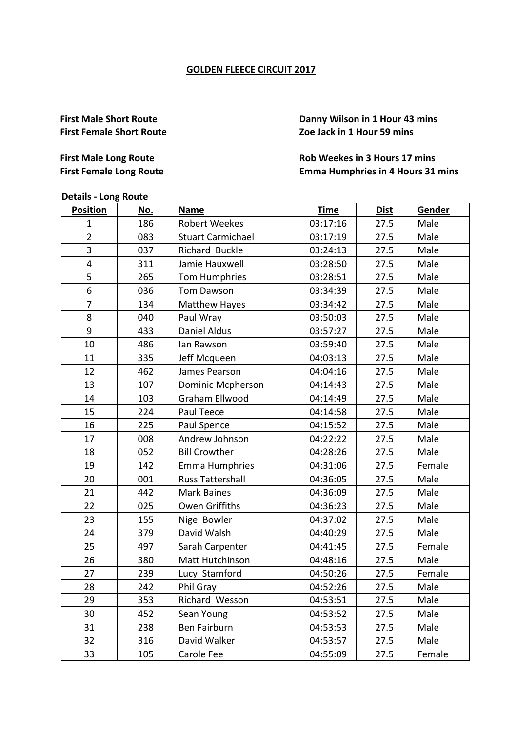#### **GOLDEN FLEECE CIRCUIT 2017**

**First Male Short Route Danny Wilson in 1 Hour 43 mins First Female Short Route** *COE Zoe Jack in 1 Hour 59 mins* 

## **First Male Long Route Rob Weekes** in 3 Hours 17 mins **First Female Long Route** *Emma Humphries in 4 Hours 31 mins*

# **Details - Long Route**

| <b>Position</b>         | No. | <b>Name</b>              | <b>Time</b> | <b>Dist</b> | Gender |
|-------------------------|-----|--------------------------|-------------|-------------|--------|
| 1                       | 186 | <b>Robert Weekes</b>     | 03:17:16    | 27.5        | Male   |
| $\overline{2}$          | 083 | <b>Stuart Carmichael</b> | 03:17:19    | 27.5        | Male   |
| 3                       | 037 | Richard Buckle           | 03:24:13    | 27.5        | Male   |
| $\overline{\mathbf{4}}$ | 311 | Jamie Hauxwell           | 03:28:50    | 27.5        | Male   |
| 5                       | 265 | Tom Humphries            | 03:28:51    | 27.5        | Male   |
| 6                       | 036 | Tom Dawson               | 03:34:39    | 27.5        | Male   |
| $\overline{7}$          | 134 | <b>Matthew Hayes</b>     | 03:34:42    | 27.5        | Male   |
| 8                       | 040 | Paul Wray                | 03:50:03    | 27.5        | Male   |
| 9                       | 433 | Daniel Aldus             | 03:57:27    | 27.5        | Male   |
| 10                      | 486 | lan Rawson               | 03:59:40    | 27.5        | Male   |
| 11                      | 335 | Jeff Mcqueen             | 04:03:13    | 27.5        | Male   |
| 12                      | 462 | James Pearson            | 04:04:16    | 27.5        | Male   |
| 13                      | 107 | <b>Dominic Mcpherson</b> | 04:14:43    | 27.5        | Male   |
| 14                      | 103 | Graham Ellwood           | 04:14:49    | 27.5        | Male   |
| 15                      | 224 | Paul Teece               | 04:14:58    | 27.5        | Male   |
| 16                      | 225 | Paul Spence              | 04:15:52    | 27.5        | Male   |
| 17                      | 008 | Andrew Johnson           | 04:22:22    | 27.5        | Male   |
| 18                      | 052 | <b>Bill Crowther</b>     | 04:28:26    | 27.5        | Male   |
| 19                      | 142 | <b>Emma Humphries</b>    | 04:31:06    | 27.5        | Female |
| 20                      | 001 | <b>Russ Tattershall</b>  | 04:36:05    | 27.5        | Male   |
| 21                      | 442 | <b>Mark Baines</b>       | 04:36:09    | 27.5        | Male   |
| 22                      | 025 | <b>Owen Griffiths</b>    | 04:36:23    | 27.5        | Male   |
| 23                      | 155 | <b>Nigel Bowler</b>      | 04:37:02    | 27.5        | Male   |
| 24                      | 379 | David Walsh              | 04:40:29    | 27.5        | Male   |
| 25                      | 497 | Sarah Carpenter          | 04:41:45    | 27.5        | Female |
| 26                      | 380 | Matt Hutchinson          | 04:48:16    | 27.5        | Male   |
| 27                      | 239 | Lucy Stamford            | 04:50:26    | 27.5        | Female |
| 28                      | 242 | Phil Gray                | 04:52:26    | 27.5        | Male   |
| 29                      | 353 | Richard Wesson           | 04:53:51    | 27.5        | Male   |
| 30                      | 452 | Sean Young               | 04:53:52    | 27.5        | Male   |
| 31                      | 238 | Ben Fairburn             | 04:53:53    | 27.5        | Male   |
| 32                      | 316 | David Walker             | 04:53:57    | 27.5        | Male   |
| 33                      | 105 | Carole Fee               | 04:55:09    | 27.5        | Female |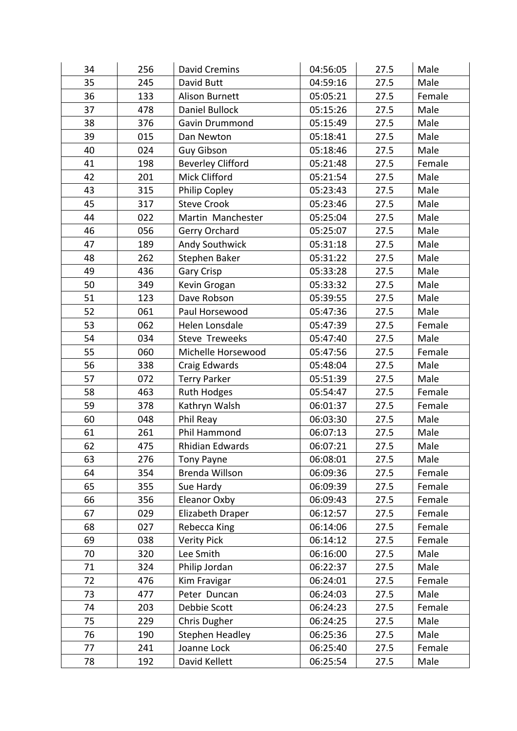| 34 | 256 | David Cremins            | 04:56:05 | 27.5 | Male   |
|----|-----|--------------------------|----------|------|--------|
| 35 | 245 | David Butt               | 04:59:16 | 27.5 | Male   |
| 36 | 133 | <b>Alison Burnett</b>    | 05:05:21 | 27.5 | Female |
| 37 | 478 | Daniel Bullock           | 05:15:26 | 27.5 | Male   |
| 38 | 376 | Gavin Drummond           | 05:15:49 | 27.5 | Male   |
| 39 | 015 | Dan Newton               | 05:18:41 | 27.5 | Male   |
| 40 | 024 | <b>Guy Gibson</b>        | 05:18:46 | 27.5 | Male   |
| 41 | 198 | <b>Beverley Clifford</b> | 05:21:48 | 27.5 | Female |
| 42 | 201 | Mick Clifford            | 05:21:54 | 27.5 | Male   |
| 43 | 315 | Philip Copley            | 05:23:43 | 27.5 | Male   |
| 45 | 317 | <b>Steve Crook</b>       | 05:23:46 | 27.5 | Male   |
| 44 | 022 | Martin Manchester        | 05:25:04 | 27.5 | Male   |
| 46 | 056 | Gerry Orchard            | 05:25:07 | 27.5 | Male   |
| 47 | 189 | <b>Andy Southwick</b>    | 05:31:18 | 27.5 | Male   |
| 48 | 262 | Stephen Baker            | 05:31:22 | 27.5 | Male   |
| 49 | 436 | Gary Crisp               | 05:33:28 | 27.5 | Male   |
| 50 | 349 | Kevin Grogan             | 05:33:32 | 27.5 | Male   |
| 51 | 123 | Dave Robson              | 05:39:55 | 27.5 | Male   |
| 52 | 061 | Paul Horsewood           | 05:47:36 | 27.5 | Male   |
| 53 | 062 | Helen Lonsdale           | 05:47:39 | 27.5 | Female |
| 54 | 034 | Steve Treweeks           | 05:47:40 | 27.5 | Male   |
| 55 | 060 | Michelle Horsewood       | 05:47:56 | 27.5 | Female |
| 56 | 338 | Craig Edwards            | 05:48:04 | 27.5 | Male   |
| 57 | 072 | <b>Terry Parker</b>      | 05:51:39 | 27.5 | Male   |
| 58 | 463 | <b>Ruth Hodges</b>       | 05:54:47 | 27.5 | Female |
| 59 | 378 | Kathryn Walsh            | 06:01:37 | 27.5 | Female |
| 60 | 048 | Phil Reay                | 06:03:30 | 27.5 | Male   |
| 61 | 261 | Phil Hammond             | 06:07:13 | 27.5 | Male   |
| 62 | 475 | Rhidian Edwards          | 06:07:21 | 27.5 | Male   |
| 63 | 276 | <b>Tony Payne</b>        | 06:08:01 | 27.5 | Male   |
| 64 | 354 | Brenda Willson           | 06:09:36 | 27.5 | Female |
| 65 | 355 | Sue Hardy                | 06:09:39 | 27.5 | Female |
| 66 | 356 | Eleanor Oxby             | 06:09:43 | 27.5 | Female |
| 67 | 029 | Elizabeth Draper         | 06:12:57 | 27.5 | Female |
| 68 | 027 | Rebecca King             | 06:14:06 | 27.5 | Female |
| 69 | 038 | <b>Verity Pick</b>       | 06:14:12 | 27.5 | Female |
| 70 | 320 | Lee Smith                | 06:16:00 | 27.5 | Male   |
| 71 | 324 | Philip Jordan            | 06:22:37 | 27.5 | Male   |
| 72 | 476 | Kim Fravigar             | 06:24:01 | 27.5 | Female |
| 73 | 477 | Peter Duncan             | 06:24:03 | 27.5 | Male   |
| 74 | 203 | Debbie Scott             | 06:24:23 | 27.5 | Female |
| 75 | 229 | Chris Dugher             | 06:24:25 | 27.5 | Male   |
| 76 | 190 | <b>Stephen Headley</b>   | 06:25:36 | 27.5 | Male   |
| 77 | 241 | Joanne Lock              | 06:25:40 | 27.5 | Female |
| 78 | 192 | David Kellett            | 06:25:54 | 27.5 | Male   |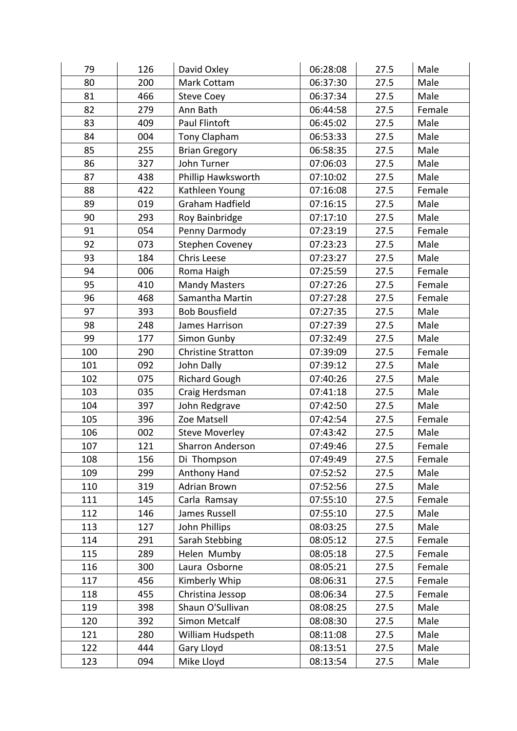| 79  | 126 | David Oxley               | 06:28:08 | 27.5 | Male   |
|-----|-----|---------------------------|----------|------|--------|
| 80  | 200 | Mark Cottam               | 06:37:30 | 27.5 | Male   |
| 81  | 466 | <b>Steve Coey</b>         | 06:37:34 | 27.5 | Male   |
| 82  | 279 | Ann Bath                  | 06:44:58 | 27.5 | Female |
| 83  | 409 | Paul Flintoft             | 06:45:02 | 27.5 | Male   |
| 84  | 004 | Tony Clapham              | 06:53:33 | 27.5 | Male   |
| 85  | 255 | <b>Brian Gregory</b>      | 06:58:35 | 27.5 | Male   |
| 86  | 327 | John Turner               | 07:06:03 | 27.5 | Male   |
| 87  | 438 | Phillip Hawksworth        | 07:10:02 | 27.5 | Male   |
| 88  | 422 | Kathleen Young            | 07:16:08 | 27.5 | Female |
| 89  | 019 | Graham Hadfield           | 07:16:15 | 27.5 | Male   |
| 90  | 293 | Roy Bainbridge            | 07:17:10 | 27.5 | Male   |
| 91  | 054 | Penny Darmody             | 07:23:19 | 27.5 | Female |
| 92  | 073 | <b>Stephen Coveney</b>    | 07:23:23 | 27.5 | Male   |
| 93  | 184 | Chris Leese               | 07:23:27 | 27.5 | Male   |
| 94  | 006 | Roma Haigh                | 07:25:59 | 27.5 | Female |
| 95  | 410 | <b>Mandy Masters</b>      | 07:27:26 | 27.5 | Female |
| 96  | 468 | Samantha Martin           | 07:27:28 | 27.5 | Female |
| 97  | 393 | <b>Bob Bousfield</b>      | 07:27:35 | 27.5 | Male   |
| 98  | 248 | James Harrison            | 07:27:39 | 27.5 | Male   |
| 99  | 177 | Simon Gunby               | 07:32:49 | 27.5 | Male   |
| 100 | 290 | <b>Christine Stratton</b> | 07:39:09 | 27.5 | Female |
| 101 | 092 | John Dally                | 07:39:12 | 27.5 | Male   |
| 102 | 075 | <b>Richard Gough</b>      | 07:40:26 | 27.5 | Male   |
| 103 | 035 | Craig Herdsman            | 07:41:18 | 27.5 | Male   |
| 104 | 397 | John Redgrave             | 07:42:50 | 27.5 | Male   |
| 105 | 396 | Zoe Matsell               | 07:42:54 | 27.5 | Female |
| 106 | 002 | <b>Steve Moverley</b>     | 07:43:42 | 27.5 | Male   |
| 107 | 121 | <b>Sharron Anderson</b>   | 07:49:46 | 27.5 | Female |
| 108 | 156 | Di Thompson               | 07:49:49 | 27.5 | Female |
| 109 | 299 | Anthony Hand              | 07:52:52 | 27.5 | Male   |
| 110 | 319 | <b>Adrian Brown</b>       | 07:52:56 | 27.5 | Male   |
| 111 | 145 | Carla Ramsay              | 07:55:10 | 27.5 | Female |
| 112 | 146 | James Russell             | 07:55:10 | 27.5 | Male   |
| 113 | 127 | John Phillips             | 08:03:25 | 27.5 | Male   |
| 114 | 291 | Sarah Stebbing            | 08:05:12 | 27.5 | Female |
| 115 | 289 | Helen Mumby               | 08:05:18 | 27.5 | Female |
| 116 | 300 | Laura Osborne             | 08:05:21 | 27.5 | Female |
| 117 | 456 | Kimberly Whip             | 08:06:31 | 27.5 | Female |
| 118 | 455 | Christina Jessop          | 08:06:34 | 27.5 | Female |
| 119 | 398 | Shaun O'Sullivan          | 08:08:25 | 27.5 | Male   |
| 120 | 392 | Simon Metcalf             | 08:08:30 | 27.5 | Male   |
| 121 | 280 | William Hudspeth          | 08:11:08 | 27.5 | Male   |
| 122 | 444 | Gary Lloyd                | 08:13:51 | 27.5 | Male   |
| 123 | 094 | Mike Lloyd                | 08:13:54 | 27.5 | Male   |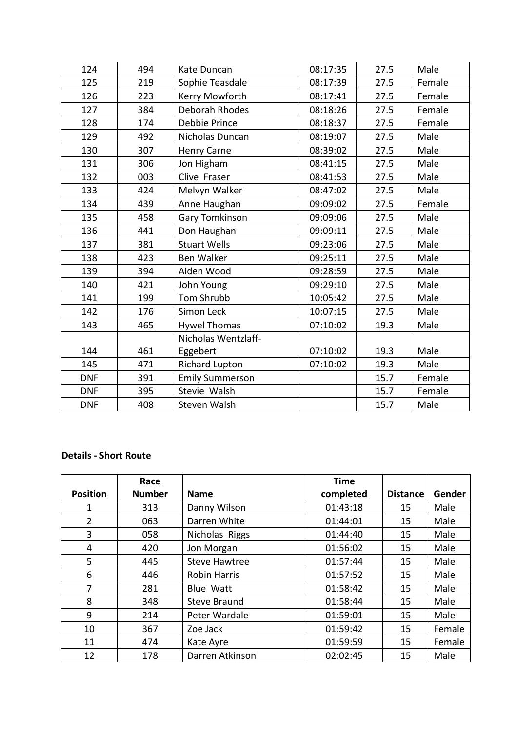| 124        | 494 | Kate Duncan            | 08:17:35 | 27.5 | Male   |
|------------|-----|------------------------|----------|------|--------|
| 125        | 219 | Sophie Teasdale        | 08:17:39 | 27.5 | Female |
| 126        | 223 | Kerry Mowforth         | 08:17:41 | 27.5 | Female |
| 127        | 384 | Deborah Rhodes         | 08:18:26 | 27.5 | Female |
| 128        | 174 | Debbie Prince          | 08:18:37 | 27.5 | Female |
| 129        | 492 | Nicholas Duncan        | 08:19:07 | 27.5 | Male   |
| 130        | 307 | Henry Carne            | 08:39:02 | 27.5 | Male   |
| 131        | 306 | Jon Higham             | 08:41:15 | 27.5 | Male   |
| 132        | 003 | Clive Fraser           | 08:41:53 | 27.5 | Male   |
| 133        | 424 | Melvyn Walker          | 08:47:02 | 27.5 | Male   |
| 134        | 439 | Anne Haughan           | 09:09:02 | 27.5 | Female |
| 135        | 458 | Gary Tomkinson         | 09:09:06 | 27.5 | Male   |
| 136        | 441 | Don Haughan            | 09:09:11 | 27.5 | Male   |
| 137        | 381 | <b>Stuart Wells</b>    | 09:23:06 | 27.5 | Male   |
| 138        | 423 | <b>Ben Walker</b>      | 09:25:11 | 27.5 | Male   |
| 139        | 394 | Aiden Wood             | 09:28:59 | 27.5 | Male   |
| 140        | 421 | John Young             | 09:29:10 | 27.5 | Male   |
| 141        | 199 | Tom Shrubb             | 10:05:42 | 27.5 | Male   |
| 142        | 176 | Simon Leck             | 10:07:15 | 27.5 | Male   |
| 143        | 465 | <b>Hywel Thomas</b>    | 07:10:02 | 19.3 | Male   |
|            |     | Nicholas Wentzlaff-    |          |      |        |
| 144        | 461 | Eggebert               | 07:10:02 | 19.3 | Male   |
| 145        | 471 | <b>Richard Lupton</b>  | 07:10:02 | 19.3 | Male   |
| <b>DNF</b> | 391 | <b>Emily Summerson</b> |          | 15.7 | Female |
| <b>DNF</b> | 395 | Stevie Walsh           |          | 15.7 | Female |
| <b>DNF</b> | 408 | Steven Walsh           |          | 15.7 | Male   |

### **Details - Short Route**

|                 | Race          |                      | <b>Time</b> |                 |        |
|-----------------|---------------|----------------------|-------------|-----------------|--------|
| <b>Position</b> | <b>Number</b> | <b>Name</b>          | completed   | <b>Distance</b> | Gender |
| 1               | 313           | Danny Wilson         | 01:43:18    | 15              | Male   |
| $\overline{2}$  | 063           | Darren White         | 01:44:01    | 15              | Male   |
| 3               | 058           | Nicholas Riggs       | 01:44:40    | 15              | Male   |
| 4               | 420           | Jon Morgan           | 01:56:02    | 15              | Male   |
| 5               | 445           | <b>Steve Hawtree</b> | 01:57:44    | 15              | Male   |
| 6               | 446           | <b>Robin Harris</b>  | 01:57:52    | 15              | Male   |
| 7               | 281           | <b>Blue Watt</b>     | 01:58:42    | 15              | Male   |
| 8               | 348           | <b>Steve Braund</b>  | 01:58:44    | 15              | Male   |
| 9               | 214           | Peter Wardale        | 01:59:01    | 15              | Male   |
| 10              | 367           | Zoe Jack             | 01:59:42    | 15              | Female |
| 11              | 474           | Kate Ayre            | 01:59:59    | 15              | Female |
| 12              | 178           | Darren Atkinson      | 02:02:45    | 15              | Male   |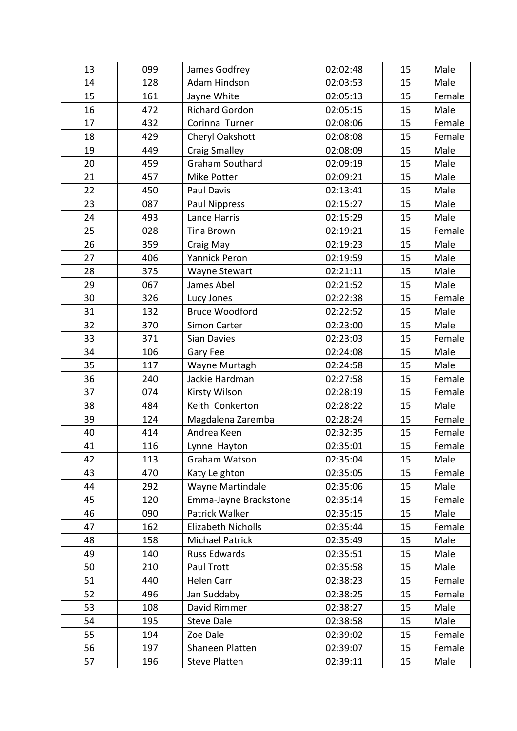| 13 | 099 | James Godfrey           | 02:02:48 | 15 | Male   |
|----|-----|-------------------------|----------|----|--------|
| 14 | 128 | Adam Hindson            | 02:03:53 | 15 | Male   |
| 15 | 161 | Jayne White             | 02:05:13 | 15 | Female |
| 16 | 472 | <b>Richard Gordon</b>   | 02:05:15 | 15 | Male   |
| 17 | 432 | Corinna Turner          | 02:08:06 | 15 | Female |
| 18 | 429 | Cheryl Oakshott         | 02:08:08 | 15 | Female |
| 19 | 449 | <b>Craig Smalley</b>    | 02:08:09 | 15 | Male   |
| 20 | 459 | <b>Graham Southard</b>  | 02:09:19 | 15 | Male   |
| 21 | 457 | Mike Potter             | 02:09:21 | 15 | Male   |
| 22 | 450 | Paul Davis              | 02:13:41 | 15 | Male   |
| 23 | 087 | Paul Nippress           | 02:15:27 | 15 | Male   |
| 24 | 493 | Lance Harris            | 02:15:29 | 15 | Male   |
| 25 | 028 | Tina Brown              | 02:19:21 | 15 | Female |
| 26 | 359 | Craig May               | 02:19:23 | 15 | Male   |
| 27 | 406 | <b>Yannick Peron</b>    | 02:19:59 | 15 | Male   |
| 28 | 375 | Wayne Stewart           | 02:21:11 | 15 | Male   |
| 29 | 067 | James Abel              | 02:21:52 | 15 | Male   |
| 30 | 326 | Lucy Jones              | 02:22:38 | 15 | Female |
| 31 | 132 | <b>Bruce Woodford</b>   | 02:22:52 | 15 | Male   |
| 32 | 370 | Simon Carter            | 02:23:00 | 15 | Male   |
| 33 | 371 | Sian Davies             | 02:23:03 | 15 | Female |
| 34 | 106 | Gary Fee                | 02:24:08 | 15 | Male   |
| 35 | 117 | Wayne Murtagh           | 02:24:58 | 15 | Male   |
| 36 | 240 | Jackie Hardman          | 02:27:58 | 15 | Female |
| 37 | 074 | Kirsty Wilson           | 02:28:19 | 15 | Female |
| 38 | 484 | Keith Conkerton         | 02:28:22 | 15 | Male   |
| 39 | 124 | Magdalena Zaremba       | 02:28:24 | 15 | Female |
| 40 | 414 | Andrea Keen             | 02:32:35 | 15 | Female |
| 41 | 116 | Lynne Hayton            | 02:35:01 | 15 | Female |
| 42 | 113 | Graham Watson           | 02:35:04 | 15 | Male   |
| 43 | 470 | Katy Leighton           | 02:35:05 | 15 | Female |
| 44 | 292 | <b>Wayne Martindale</b> | 02:35:06 | 15 | Male   |
| 45 | 120 | Emma-Jayne Brackstone   | 02:35:14 | 15 | Female |
| 46 | 090 | Patrick Walker          | 02:35:15 | 15 | Male   |
| 47 | 162 | Elizabeth Nicholls      | 02:35:44 | 15 | Female |
| 48 | 158 | <b>Michael Patrick</b>  | 02:35:49 | 15 | Male   |
| 49 | 140 | <b>Russ Edwards</b>     | 02:35:51 | 15 | Male   |
| 50 | 210 | Paul Trott              | 02:35:58 | 15 | Male   |
| 51 | 440 | Helen Carr              | 02:38:23 | 15 | Female |
| 52 | 496 | Jan Suddaby             | 02:38:25 | 15 | Female |
| 53 | 108 | David Rimmer            | 02:38:27 | 15 | Male   |
| 54 | 195 | <b>Steve Dale</b>       | 02:38:58 | 15 | Male   |
| 55 | 194 | Zoe Dale                | 02:39:02 | 15 | Female |
| 56 | 197 | Shaneen Platten         | 02:39:07 | 15 | Female |
| 57 | 196 | <b>Steve Platten</b>    | 02:39:11 | 15 | Male   |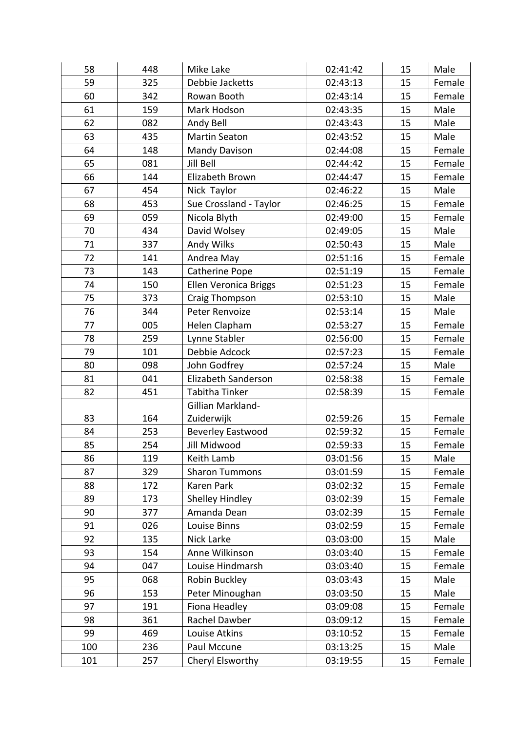| 58  | 448 | Mike Lake                | 02:41:42 | 15 | Male   |
|-----|-----|--------------------------|----------|----|--------|
| 59  | 325 | Debbie Jacketts          | 02:43:13 | 15 | Female |
| 60  | 342 | Rowan Booth              | 02:43:14 | 15 | Female |
| 61  | 159 | Mark Hodson              | 02:43:35 | 15 | Male   |
| 62  | 082 | Andy Bell                | 02:43:43 | 15 | Male   |
| 63  | 435 | <b>Martin Seaton</b>     | 02:43:52 | 15 | Male   |
| 64  | 148 | <b>Mandy Davison</b>     | 02:44:08 | 15 | Female |
| 65  | 081 | Jill Bell                | 02:44:42 | 15 | Female |
| 66  | 144 | Elizabeth Brown          | 02:44:47 | 15 | Female |
| 67  | 454 | Nick Taylor              | 02:46:22 | 15 | Male   |
| 68  | 453 | Sue Crossland - Taylor   | 02:46:25 | 15 | Female |
| 69  | 059 | Nicola Blyth             | 02:49:00 | 15 | Female |
| 70  | 434 | David Wolsey             | 02:49:05 | 15 | Male   |
| 71  | 337 | Andy Wilks               | 02:50:43 | 15 | Male   |
| 72  | 141 | Andrea May               | 02:51:16 | 15 | Female |
| 73  | 143 | Catherine Pope           | 02:51:19 | 15 | Female |
| 74  | 150 | Ellen Veronica Briggs    | 02:51:23 | 15 | Female |
| 75  | 373 | Craig Thompson           | 02:53:10 | 15 | Male   |
| 76  | 344 | Peter Renvoize           | 02:53:14 | 15 | Male   |
| 77  | 005 | Helen Clapham            | 02:53:27 | 15 | Female |
| 78  | 259 | Lynne Stabler            | 02:56:00 | 15 | Female |
| 79  | 101 | Debbie Adcock            | 02:57:23 | 15 | Female |
| 80  | 098 | John Godfrey             | 02:57:24 | 15 | Male   |
| 81  | 041 | Elizabeth Sanderson      | 02:58:38 | 15 | Female |
| 82  | 451 | Tabitha Tinker           | 02:58:39 | 15 | Female |
|     |     | Gillian Markland-        |          |    |        |
| 83  | 164 | Zuiderwijk               | 02:59:26 | 15 | Female |
| 84  | 253 | <b>Beverley Eastwood</b> | 02:59:32 | 15 | Female |
| 85  | 254 | Jill Midwood             | 02:59:33 | 15 | Female |
| 86  | 119 | Keith Lamb               | 03:01:56 | 15 | Male   |
| 87  | 329 | <b>Sharon Tummons</b>    | 03:01:59 | 15 | Female |
| 88  | 172 | Karen Park               | 03:02:32 | 15 | Female |
| 89  | 173 | Shelley Hindley          | 03:02:39 | 15 | Female |
| 90  | 377 | Amanda Dean              | 03:02:39 | 15 | Female |
| 91  | 026 | Louise Binns             | 03:02:59 | 15 | Female |
| 92  | 135 | Nick Larke               | 03:03:00 | 15 | Male   |
| 93  | 154 | Anne Wilkinson           | 03:03:40 | 15 | Female |
| 94  | 047 | Louise Hindmarsh         | 03:03:40 | 15 | Female |
| 95  | 068 | Robin Buckley            | 03:03:43 | 15 | Male   |
| 96  | 153 | Peter Minoughan          | 03:03:50 | 15 | Male   |
| 97  | 191 | Fiona Headley            | 03:09:08 | 15 | Female |
| 98  | 361 | Rachel Dawber            | 03:09:12 | 15 | Female |
| 99  | 469 | Louise Atkins            | 03:10:52 | 15 | Female |
| 100 | 236 | Paul Mccune              | 03:13:25 | 15 | Male   |
| 101 | 257 | Cheryl Elsworthy         | 03:19:55 | 15 | Female |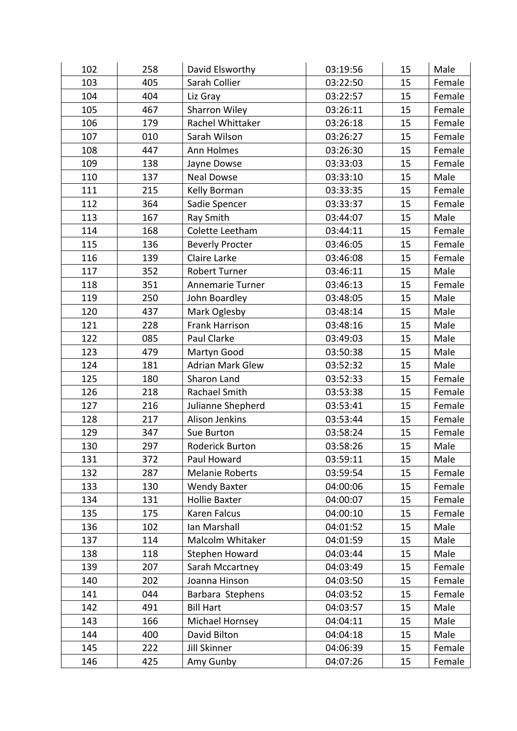| 102 | 258 | David Elsworthy         | 03:19:56 | 15 | Male   |
|-----|-----|-------------------------|----------|----|--------|
| 103 | 405 | Sarah Collier           | 03:22:50 | 15 | Female |
| 104 | 404 | Liz Gray                | 03:22:57 | 15 | Female |
| 105 | 467 | Sharron Wiley           | 03:26:11 | 15 | Female |
| 106 | 179 | Rachel Whittaker        | 03:26:18 | 15 | Female |
| 107 | 010 | Sarah Wilson            | 03:26:27 | 15 | Female |
| 108 | 447 | Ann Holmes              | 03:26:30 | 15 | Female |
| 109 | 138 | Jayne Dowse             | 03:33:03 | 15 | Female |
| 110 | 137 | <b>Neal Dowse</b>       | 03:33:10 | 15 | Male   |
| 111 | 215 | Kelly Borman            | 03:33:35 | 15 | Female |
| 112 | 364 | Sadie Spencer           | 03:33:37 | 15 | Female |
| 113 | 167 | Ray Smith               | 03:44:07 | 15 | Male   |
| 114 | 168 | Colette Leetham         | 03:44:11 | 15 | Female |
| 115 | 136 | <b>Beverly Procter</b>  | 03:46:05 | 15 | Female |
| 116 | 139 | Claire Larke            | 03:46:08 | 15 | Female |
| 117 | 352 | <b>Robert Turner</b>    | 03:46:11 | 15 | Male   |
| 118 | 351 | Annemarie Turner        | 03:46:13 | 15 | Female |
| 119 | 250 | John Boardley           | 03:48:05 | 15 | Male   |
| 120 | 437 | Mark Oglesby            | 03:48:14 | 15 | Male   |
| 121 | 228 | Frank Harrison          | 03:48:16 | 15 | Male   |
| 122 | 085 | Paul Clarke             | 03:49:03 | 15 | Male   |
| 123 | 479 | Martyn Good             | 03:50:38 | 15 | Male   |
| 124 | 181 | <b>Adrian Mark Glew</b> | 03:52:32 | 15 | Male   |
| 125 | 180 | Sharon Land             | 03:52:33 | 15 | Female |
| 126 | 218 | Rachael Smith           | 03:53:38 | 15 | Female |
| 127 | 216 | Julianne Shepherd       | 03:53:41 | 15 | Female |
| 128 | 217 | Alison Jenkins          | 03:53:44 | 15 | Female |
| 129 | 347 | Sue Burton              | 03:58:24 | 15 | Female |
| 130 | 297 | Roderick Burton         | 03:58:26 | 15 | Male   |
| 131 | 372 | Paul Howard             | 03:59:11 | 15 | Male   |
| 132 | 287 | <b>Melanie Roberts</b>  | 03:59:54 | 15 | Female |
| 133 | 130 | <b>Wendy Baxter</b>     | 04:00:06 | 15 | Female |
| 134 | 131 | Hollie Baxter           | 04:00:07 | 15 | Female |
| 135 | 175 | Karen Falcus            | 04:00:10 | 15 | Female |
| 136 | 102 | Ian Marshall            | 04:01:52 | 15 | Male   |
| 137 | 114 | Malcolm Whitaker        | 04:01:59 | 15 | Male   |
| 138 | 118 | Stephen Howard          | 04:03:44 | 15 | Male   |
| 139 | 207 | Sarah Mccartney         | 04:03:49 | 15 | Female |
| 140 | 202 | Joanna Hinson           | 04:03:50 | 15 | Female |
| 141 | 044 | Barbara Stephens        | 04:03:52 | 15 | Female |
| 142 | 491 | <b>Bill Hart</b>        | 04:03:57 | 15 | Male   |
| 143 | 166 | Michael Hornsey         | 04:04:11 | 15 | Male   |
| 144 | 400 | David Bilton            | 04:04:18 | 15 | Male   |
| 145 | 222 | Jill Skinner            | 04:06:39 | 15 | Female |
| 146 | 425 | Amy Gunby               | 04:07:26 | 15 | Female |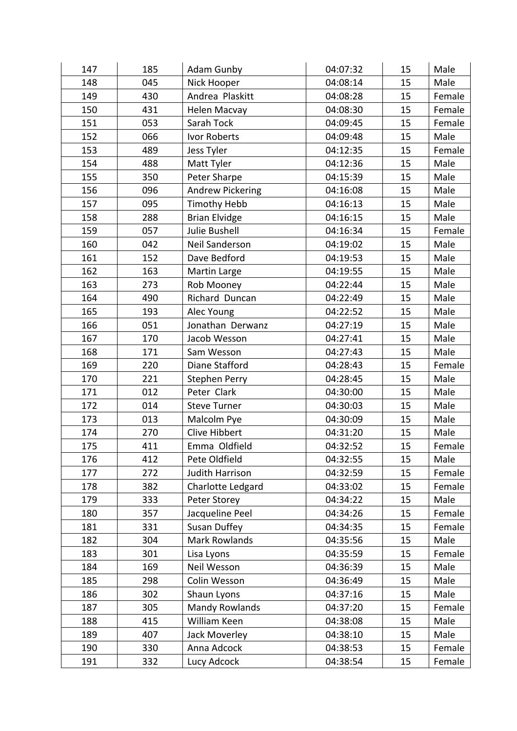| 147 | 185 | Adam Gunby             | 04:07:32 | 15 | Male   |
|-----|-----|------------------------|----------|----|--------|
| 148 | 045 | Nick Hooper            | 04:08:14 | 15 | Male   |
| 149 | 430 | Andrea Plaskitt        | 04:08:28 | 15 | Female |
| 150 | 431 | Helen Macvay           | 04:08:30 | 15 | Female |
| 151 | 053 | Sarah Tock             | 04:09:45 | 15 | Female |
| 152 | 066 | Ivor Roberts           | 04:09:48 | 15 | Male   |
| 153 | 489 | Jess Tyler             | 04:12:35 | 15 | Female |
| 154 | 488 | Matt Tyler             | 04:12:36 | 15 | Male   |
| 155 | 350 | Peter Sharpe           | 04:15:39 | 15 | Male   |
| 156 | 096 | Andrew Pickering       | 04:16:08 | 15 | Male   |
| 157 | 095 | <b>Timothy Hebb</b>    | 04:16:13 | 15 | Male   |
| 158 | 288 | <b>Brian Elvidge</b>   | 04:16:15 | 15 | Male   |
| 159 | 057 | Julie Bushell          | 04:16:34 | 15 | Female |
| 160 | 042 | Neil Sanderson         | 04:19:02 | 15 | Male   |
| 161 | 152 | Dave Bedford           | 04:19:53 | 15 | Male   |
| 162 | 163 | Martin Large           | 04:19:55 | 15 | Male   |
| 163 | 273 | Rob Mooney             | 04:22:44 | 15 | Male   |
| 164 | 490 | Richard Duncan         | 04:22:49 | 15 | Male   |
| 165 | 193 | Alec Young             | 04:22:52 | 15 | Male   |
| 166 | 051 | Jonathan Derwanz       | 04:27:19 | 15 | Male   |
| 167 | 170 | Jacob Wesson           | 04:27:41 | 15 | Male   |
| 168 | 171 | Sam Wesson             | 04:27:43 | 15 | Male   |
| 169 | 220 | Diane Stafford         | 04:28:43 | 15 | Female |
| 170 | 221 | <b>Stephen Perry</b>   | 04:28:45 | 15 | Male   |
| 171 | 012 | Peter Clark            | 04:30:00 | 15 | Male   |
| 172 | 014 | <b>Steve Turner</b>    | 04:30:03 | 15 | Male   |
| 173 | 013 | Malcolm Pye            | 04:30:09 | 15 | Male   |
| 174 | 270 | <b>Clive Hibbert</b>   | 04:31:20 | 15 | Male   |
| 175 | 411 | Emma Oldfield          | 04:32:52 | 15 | Female |
| 176 | 412 | Pete Oldfield          | 04:32:55 | 15 | Male   |
| 177 | 272 | <b>Judith Harrison</b> | 04:32:59 | 15 | Female |
| 178 | 382 | Charlotte Ledgard      | 04:33:02 | 15 | Female |
| 179 | 333 | Peter Storey           | 04:34:22 | 15 | Male   |
| 180 | 357 | Jacqueline Peel        | 04:34:26 | 15 | Female |
| 181 | 331 | <b>Susan Duffey</b>    | 04:34:35 | 15 | Female |
| 182 | 304 | Mark Rowlands          | 04:35:56 | 15 | Male   |
| 183 | 301 | Lisa Lyons             | 04:35:59 | 15 | Female |
| 184 | 169 | Neil Wesson            | 04:36:39 | 15 | Male   |
| 185 | 298 | Colin Wesson           | 04:36:49 | 15 | Male   |
| 186 | 302 | Shaun Lyons            | 04:37:16 | 15 | Male   |
| 187 | 305 | <b>Mandy Rowlands</b>  | 04:37:20 | 15 | Female |
| 188 | 415 | William Keen           | 04:38:08 | 15 | Male   |
| 189 | 407 | Jack Moverley          | 04:38:10 | 15 | Male   |
| 190 | 330 | Anna Adcock            | 04:38:53 | 15 | Female |
| 191 | 332 | Lucy Adcock            | 04:38:54 | 15 | Female |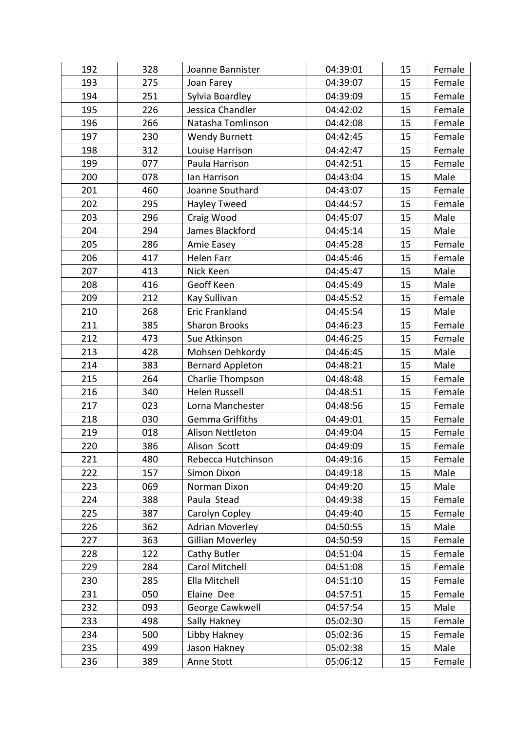| 192 | 328 | Joanne Bannister        | 04:39:01 | 15 | Female |
|-----|-----|-------------------------|----------|----|--------|
| 193 | 275 | Joan Farey              | 04:39:07 | 15 | Female |
| 194 | 251 | Sylvia Boardley         | 04:39:09 | 15 | Female |
| 195 | 226 | Jessica Chandler        | 04:42:02 | 15 | Female |
| 196 | 266 | Natasha Tomlinson       | 04:42:08 | 15 | Female |
| 197 | 230 | <b>Wendy Burnett</b>    | 04:42:45 | 15 | Female |
| 198 | 312 | Louise Harrison         | 04:42:47 | 15 | Female |
| 199 | 077 | Paula Harrison          | 04:42:51 | 15 | Female |
| 200 | 078 | lan Harrison            | 04:43:04 | 15 | Male   |
| 201 | 460 | Joanne Southard         | 04:43:07 | 15 | Female |
| 202 | 295 | Hayley Tweed            | 04:44:57 | 15 | Female |
| 203 | 296 | Craig Wood              | 04:45:07 | 15 | Male   |
| 204 | 294 | James Blackford         | 04:45:14 | 15 | Male   |
| 205 | 286 | Amie Easey              | 04:45:28 | 15 | Female |
| 206 | 417 | Helen Farr              | 04:45:46 | 15 | Female |
| 207 | 413 | Nick Keen               | 04:45:47 | 15 | Male   |
| 208 | 416 | Geoff Keen              | 04:45:49 | 15 | Male   |
| 209 | 212 | Kay Sullivan            | 04:45:52 | 15 | Female |
| 210 | 268 | <b>Eric Frankland</b>   | 04:45:54 | 15 | Male   |
| 211 | 385 | <b>Sharon Brooks</b>    | 04:46:23 | 15 | Female |
| 212 | 473 | Sue Atkinson            | 04:46:25 | 15 | Female |
| 213 | 428 | Mohsen Dehkordy         | 04:46:45 | 15 | Male   |
| 214 | 383 | <b>Bernard Appleton</b> | 04:48:21 | 15 | Male   |
| 215 | 264 | Charlie Thompson        | 04:48:48 | 15 | Female |
| 216 | 340 | Helen Russell           | 04:48:51 | 15 | Female |
| 217 | 023 | Lorna Manchester        | 04:48:56 | 15 | Female |
| 218 | 030 | <b>Gemma Griffiths</b>  | 04:49:01 | 15 | Female |
| 219 | 018 | Alison Nettleton        | 04:49:04 | 15 | Female |
| 220 | 386 | Alison Scott            | 04:49:09 | 15 | Female |
| 221 | 480 | Rebecca Hutchinson      | 04:49:16 | 15 | Female |
| 222 | 157 | Simon Dixon             | 04:49:18 | 15 | Male   |
| 223 | 069 | Norman Dixon            | 04:49:20 | 15 | Male   |
| 224 | 388 | Paula Stead             | 04:49:38 | 15 | Female |
| 225 | 387 | Carolyn Copley          | 04:49:40 | 15 | Female |
| 226 | 362 | <b>Adrian Moverley</b>  | 04:50:55 | 15 | Male   |
| 227 | 363 | <b>Gillian Moverley</b> | 04:50:59 | 15 | Female |
| 228 | 122 | Cathy Butler            | 04:51:04 | 15 | Female |
| 229 | 284 | Carol Mitchell          | 04:51:08 | 15 | Female |
| 230 | 285 | Ella Mitchell           | 04:51:10 | 15 | Female |
| 231 | 050 | Elaine Dee              | 04:57:51 | 15 | Female |
| 232 | 093 | George Cawkwell         | 04:57:54 | 15 | Male   |
| 233 | 498 | Sally Hakney            | 05:02:30 | 15 | Female |
| 234 | 500 | Libby Hakney            | 05:02:36 | 15 | Female |
| 235 | 499 | Jason Hakney            | 05:02:38 | 15 | Male   |
| 236 | 389 | Anne Stott              | 05:06:12 | 15 | Female |